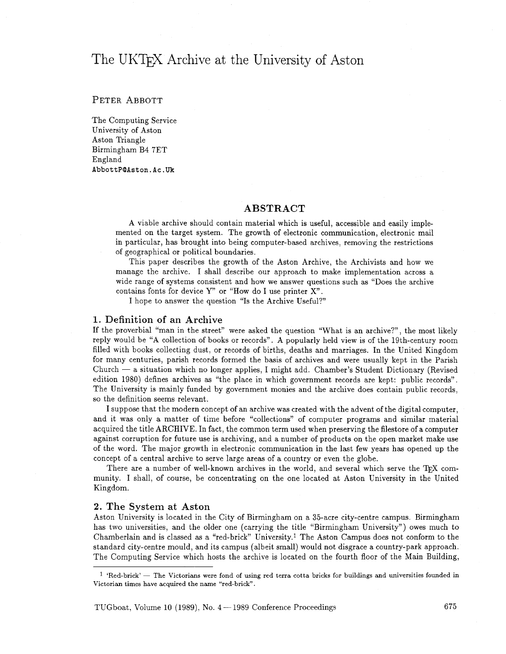# The UKT<sub>F</sub>X Archive at the University of Aston

# PETER ABBOTT

The Computing Service University of Aston Aston Triangle Birmingham B4 7ET England **AbbottP@Aston.Ac.Uk** 

# ABSTRACT

A viable archive should contain material which is useful, accessible and easily implemented on the target system. The growth of electronic communication, electronic mail in particular, has brought into being computer-based archives, removing the restrictions of geographical or political boundaries.

This paper describes the growth of the Aston Archive, the Archivists and how we manage the archive. I shall describe our approach to make implementation across a wide range of systems consistent and how we answer questions such as "Does the archive contains fonts for device Y" or "How do I use printer X".

I hope to answer the question "Is the Archive Useful?"

## 1. Definition of an Archive

If the proverbial "man in the street" were asked the question "What is an archive?", the most likely reply would be "A collection of books or records". A popularly held view is of the 19th-century room filled with books collecting dust, or records of births, deaths and marriages. In the United Kingdom for many centuries, parish records formed the basis of archives and were usually kept in the Parish  $Church - a situation which no longer applies, I might add. Chamber's Student Dictionary (Revised)$ edition 1980) defines archives as "the place in which government records are kept: public records". The University is mainly funded by government monies and the archive does contain public records, so the definition seems relevant.

I suppose that the modern concept of an archive was created with the advent of the digital computer, and it was only a matter of time before "collections" of computer programs and similar material acquired the title ARCHIVE. In fact, the common term used when preserving the filestore of a computer against corruption for future use is archiving, and a number of products on the open market make use of the word. The major growth in electronic communication in the last few years has opened up the concept of a central archive to serve large areas of a country or even the globe.

There are a number of well-known archives in the world, and several which serve the TEX community. I shall, of course, be concentrating on the one located at Aston University in the United Kingdom.

#### 2. The System at Aston

Aston University is located in the City of Birmingham on a 35-acre city-centre campus. Birmingham has two universities, and the older one (carrying the title "Birmingham University") owes much to Chamberlain and is classed as a "red-brick" University.1 The Aston Campus does not conform to the standard city-centre mould, and its campus (albeit small) would not disgrace a country-park approach. The Computing Service which hosts the archive is located on the fourth floor of the Main Building,

 $1$  'Red-brick' - The Victorians were fond of using red terra cotta bricks for buildings and universities founded in Victorian times have acquired the name "red-brick" .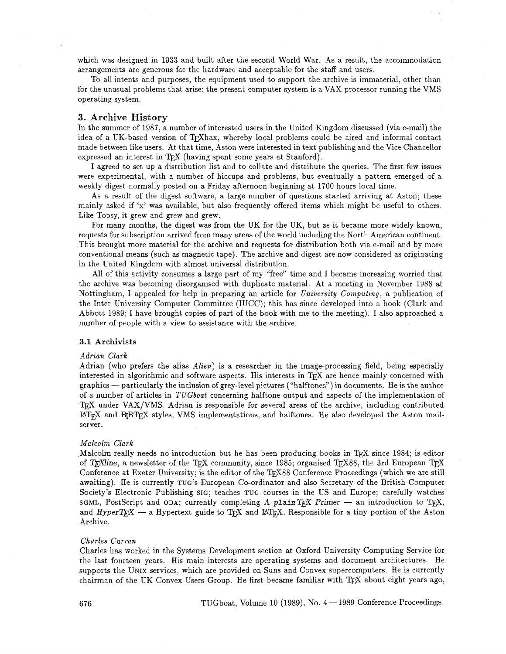which was designed in 1933 and built after the second World War. As a result, the accommodation arrangements are generous for the hardware and acceptable for the staff and users.

To all intents and purposes, the equipment used to support the archive is immaterial, other than for the unusual problems that arise; the present computer system is a VAX processor running the VMS operating system.

## 3. Archive History

In the summer of 1987, a number of interested users in the United Kingdom discussed (via e-mail) the idea of a UK-based version of T<sub>F</sub>Xhax, whereby local problems could be aired and informal contact made between like users. At that time, Aston were interested in text publishing and the Vice Chancellor expressed an interest in TEX (having spent some years at Stanford).

I agreed to set up a distribution list and to collate and distribute the queries. The first few issues were experimental, with a number of hiccups and problems, but eventually a pattern emerged of a weekly digest normally posted on a Friday afternoon beginning at 1700 hours local time.

As a result of the digest software, a large number of questions started arriving at Aston; these mainly asked if 'x' was available, but also frequently offered items which might be useful to others. Like Topsy, it grew and grew and grew.

For many months, the digest was from the UK for the UK, but as it became more widely known, requests for subscription arrived from many areas of the world including the North American continent. This brought more material for the archive and requests for distribution both via e-mail and by more conventional means (such as magnetic tape). The archive and digest are now considered as originating in the United Kingdom with almost universal distribution.

All of this activity consumes a large part of my "free" time and I became increasing worried that the archive was becoming disorganised with duplicate material. At a meeting in November 1988 at Nottingham, I appealed for help in preparing an article for University Computing, a publication of the Inter University Computer Committee (IUCC); this has since developed into a book (Clark and Abbott 1989; I have brought copies of part of the book with me to the meeting). I also approached a number of people with a view to assistance with the archive.

#### **3.1 Archivists**

#### Adrian Clark

Adrian (who prefers the alias *Alien*) is a researcher in the image-processing field, being especially Adrian (who prefers the alias *Alien*) is a researcher in the image-processing field, being especially interested in algorithmic and software aspects. His interests in T<sub>E</sub>X are hence mainly concerned with graphics -- par of a number of articles in TUGboat concerning halftone output and aspects of the implementation of TEX under VAX/VMS. Adrian is responsible for several areas of the archive, including contributed  $\text{LipX}$  and  $\text{BjBTrX}$  styles, VMS implementations, and halftones. He also developed the Aston mailserver.

#### Malcolm Clark

Malcolm really needs no introduction but he has been producing books in TFX since 1984; is editor of TEXline, a newsletter of the TEX community, since 1985; organised TEX88, the 3rd European TEX Conference at Exeter University; is the editor of the TFX88 Conference Proceedings (which we are still awaiting). He is currently TUG'S European Co-ordinator and also Secretary of the British Computer Society's Electronic Publishing SIG; teaches TUG courses in the US and Europe; carefully watches awaiting). He is currently TUG's European Co-ordinator and also Secretary of the British Computer<br>Society's Electronic Publishing SIG; teaches TUG courses in the US and Europe; carefully watches<br>SGML, PostScript and ODA; c Society's Electronic Publishing SIG; teaches TUG courses in the US and Europe; carefully watches<br>
SGML, PostScript and ODA; currently completing A plain TFX Primer — an introduction to TFX,<br>
and *HyperTFX* — a Hypertext gu Archive.

## Charles Curran

Charles has worked in the Systems Development section at Oxford University Computing Service for the last fourteen years. His main interests are operating systems and document architectures. He supports the UNIX services, which are provided on Suns and Convex supercomputers. He is currently chairman of the UK Convex Users Group. He first became familiar with TFX about eight years ago,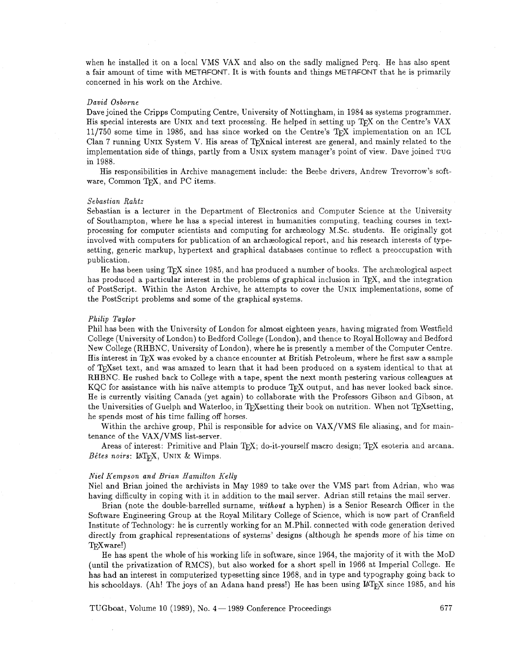when he installed it on a local VMS VAX and also on the sadly maligned Perq. He has also spent a fair amount of time with METAFONT. It is with founts and things METAFONT that he is primarily concerned in his work on the Archive.

#### *David Osborne*

Dave joined the Cripps Computing Centre, University of Nottingham, in 1984 as systems programmer. His special interests are UNIX and text processing. He helped in setting up T<sub>F</sub>X on the Centre's VAX  $11/750$  some time in 1986, and has since worked on the Centre's T<sub>E</sub>X implementation on an ICL Clan 7 running UNIX System V. His areas of TrXnical interest are general, and mainly related to the implementation side of things, partly from a UNIX system manager's point of view. Dave joined TUG in 1988.

His responsibilities in Archive management include: the Beebe drivers, Andrew Trevorrow's software, Common TFX, and PC items.

#### *Sebastian Rahtz*

Sebastian is a lecturer in the Department of Electronics and Computer Science at the University of Southampton, where he has a special interest in humanities computing, teaching courses in textprocessing for computer scientists and computing for archzeology M.Sc. students. He originally got involved with computers for publication of an archzeological report, and his research interests of typesetting, generic markup, hypertext and graphical databases continue to reflect a preoccupation with publication.

He has been using TFX since 1985, and has produced a number of books. The archaeological aspect has produced a particular interest in the problems of graphical inclusion in T<sub>F</sub>X, and the integration of Postscript. Within the Aston Archive, he attempts to cover the UNIX implementations, some of the PostScript problems and some of the graphical systems.

### *Philip Taylor*

Phil has been with the University of London for almost eighteen years, having migrated from Westfield College (University of London) to Bedford College (London), and thence to Royal Holloway and Bedford New College (RHBNC, University of London), where he is presently a member of the Computer Centre. His interest in TFX was evoked by a chance encounter at British Petroleum, where he first saw a sample of T<sub>E</sub>Xset text, and was amazed to learn that it had been produced on a system identical to that at RHBNC. He rushed back to College with a tape, spent the next month pestering various colleagues at KQC for assistance wit RHBNC. He rushed back to College with a tape, spent the next month pestering various colleagues at He is currently visiting Canada (yet again) to collaborate with the Professors Gibson and Gibson, at the Universities of Guelph and Waterloo, in TrXsetting their book on nutrition. When not TrXsetting, he spends most of his time falling off horses.

Within the archive group, Phil is responsible for advice on VAX/VMS file aliasing, and for maintenance of the VAX/VMS list-server.

Areas of interest: Primitive and Plain TEX; do-it-yourself macro design; TEX esoteria and arcana. *Bêtes noirs: IATEX, UNIX & Wimps.* 

#### *Niel hrempson and Brian Hamilton Kelly*

Niel and Brian joined the archivists in May 1989 to take over the VMS part from Adrian, who was having difficulty in coping with it in addition to the mail server. Adrian still retains the mail server.

Brian (note the double-barrelled surname, *without* a hyphen) is a Senior Research Officer in the Software Engineering Group at the Royal Military College of Science, which is now part of Cranfield Institute of Technology: he is currently working for an M.Phil. connected with code generation derived directly from graphical representations of systems' designs (although he spends more of his time on T<sub>F</sub>Xware!)

He has spent the whole of his working life in software, since 1964, the majority of it with the MOD (until the privatization of RMCS), but also worked for a short spell in 1966 at Imperial College. He has had an interest in computerized typesetting since 1968, and in type and typography going back to his schooldays. (Ah! The joys of an Adana hand press!) He has been using  $\mu$ T<sub>E</sub>X since 1985, and his

TUGboat, Volume 10 (1989), No. 4- 1989 Conference Proceedings *677*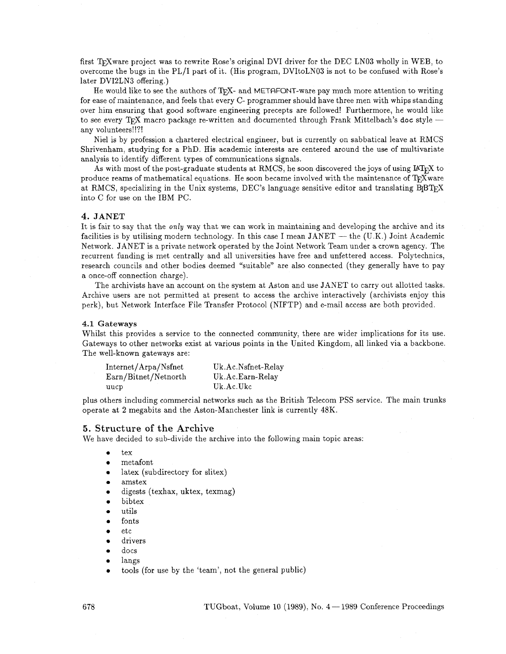first TrXware project was to rewrite Rose's original DVI driver for the DEC LN03 wholly in WEB, to overcome the bugs in the PL/I part of it. (His program, DVItoLN03 is not to be confused with Rose's later DVI2LN3 offering.)

He would like to see the authors of TFX- and METAFONT-ware pay much more attention to writing for ease of maintenance, and feels that every C- programmer should have three men with whips standing over him ensuring that good software engineering precepts are followed! Furthermore, he would like tor ease of maintenance, and feels that every C- programmer should have three men with whips standing<br>over him ensuring that good software engineering precepts are followed! Furthermore, he would like<br>to see every T<sub>E</sub>X ma any volunteers!!?!

Niel is by profession a chartered electrical engineer, but is currently on sabbatical leave at RMCS Shrivenham, studying for a PhD. His academic interests are centered around the use of multivariate analysis to identify different types of communications signals.

As with most of the post-graduate students at RMCS, he soon discovered the joys of using  $\text{LTr} X$  to produce reams of mathematical equations. He soon became involved with the maintenance of T<sub>F</sub>X ware at RMCS, specializing in the Unix systems, DEC's language sensitive editor and translating  $BfBTrX$ into C for use on the IBM PC.

## 4. JANET

It is fair to say that the only way that we can work in maintaining and developing the archive and its facilities is by utilising modern technology. In this case I mean  $JANET$  — the (U.K.) Joint Academic Network. JANET is a private network operated by the Joint Network Team under a crown agency. The recurrent funding is met centrally and all universities have free and unfettered access. Polytechnics, research councils and other bodies deemed "suitable" are also connected (they generally have to pay a once-off connection charge).

The archivists have an account on the system at Aston and use JANET to carry out allotted tasks. Archive users are not permitted at present to access the archive interactively (archivists enjoy this perk), but Network Interface File Transfer Protocol (NIFTP) and e-mail access are both provided.

#### 4.1 **Gateways**

Whilst this provides a service to the connected community, there are wider implications for its use. Gateways to other networks exist at various points in the United Kingdom, all linked via a backbone. The well-known gateways are:

| Internet/Arpa/Nsfnet | Uk.Ac.Nsfnet-Relay |
|----------------------|--------------------|
| Earn/Bitnet/Netnorth | Uk.Ac.Earn-Relay   |
| uucp                 | Uk.Ac.Ukc          |

plus others including commercial networks such as the British Telecom PSS service. The main trunks operate at 2 megabits and the Aston-Manchester link is currently 48K.

#### 5. Structure of the Archive

We have decided to sub-divide the archive into the following main topic areas:

- $\bullet$ tex
- met afont
- latex (subdirectory for slitex)
- amstex
- digests (texhax, uktex, texmag)
- bibtex
- utils
- fonts
- etc
- drivers
- docs  $\bullet$
- langs  $\bullet$
- tools (for use by the 'team', not the general public)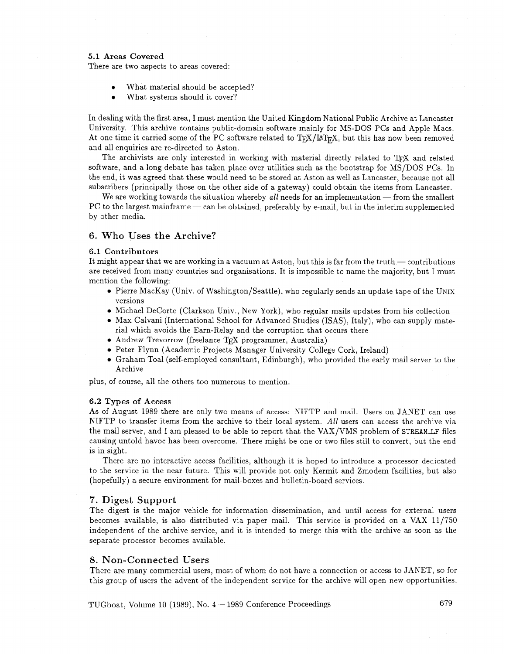## **5.1 Areas Covered**

There are two aspects to areas covered:

- **<sup>0</sup>**What material should be accepted?
- What systems should it cover?  $\bullet$

In dealing with the first area, I must mention the United Kingdom National Public Archive at Lancaster University. This archive contains public-domain software mainly for MS-DOS PCs and Apple Macs. At one time it carried some of the PC software related to TEX/IATEX, but this has now been removed and all enquiries are re-directed to Aston.

The archivists are only interested in working with material directly related to TFX and related software, and a long debate has taken place over utilities such as the bootstrap for MS/DOS PCs. In the end, it was agreed that these would need to be stored at Aston as well **as** Lancaster, because not all subscribers (principally those on the other side of a gateway) could obtain the items from Lancaster. end, it was agreed that these would need to be stored at Aston as well as Lancaster, because not all<br>scribers (principally those on the other side of a gateway) could obtain the items from Lancaster.<br>We are working towards

We are working towards the situation whereby all needs for an implementation — from the smallest PC to the largest mainframe — can be obtained, preferably by e-mail, but in the interim supplemented by other media.

## **6. Who Uses the Archive?**

## **6.1 Contributors**

It might appear that we are working in a vacuum at Aston, but this is far from the truth  $-$  contributions are received from many countries and organisations. It is impossible to name the majority, but I must mention the following:

- **0** Pierre MacKay (Univ. of Washington/Seattle), who regularly sends an update tape of the UNIX versions
- **0** Michael DeCorte (Clarkson Univ., New York), who regular mails updates from his collection
- **0** Max Calvani (International School for Advanced Studies (ISAS), Italy), who can supply material which avoids the Earn-Relay and the corruption that occurs there
- **•** Andrew Trevorrow (freelance T<sub>F</sub>X programmer, Australia)
- **0** Peter Flynn (Academic Projects Manager University College Cork, Ireland)
- **0** Graham Toal (self-employed consultant, Edinburgh), who provided the early mail server to the Archive

plus, of course, all the others too numerous to mention.

## **6.2 Types of Access**

As of August **1989** there are only two means of access: NIFTP and mail. Users on JANET can use NIFTP to transfer items from the archive to their local system. All users can access the archive via the mail server, and I am pleased to be able to report that the VAX/VMS problem of STREAM\_LF files causing untold havoc has been overcome. There might be one or two files still to convert, but the end is in sight.

There are no interactive access facilities, although it is hoped to introduce a processor dedicated to the service in the near future. This will provide not only Kermit and Zmodem facilities, but also (hopefully) a secure environment for mail-boxes and bulletin-board services.

## **7. Digest Support**

The digest is the major vehicle for information dissemination, and until access for external users becomes available, is also distributed via paper mail. This service is provided on a VAX 11/750 independent of the archive service, and it is intended to merge this with the archive as soon as the separate processor becomes available.

### **8. Non-Connected Users**

There are many commercial users, most of whom do not have a connection or access to JANET, so for this group of users the advent of the independent service for the archive will open new opportunities.

TUGboat, Volume 10 **(1989),** No. 4- **1989** Conference Proceedings **6 79**